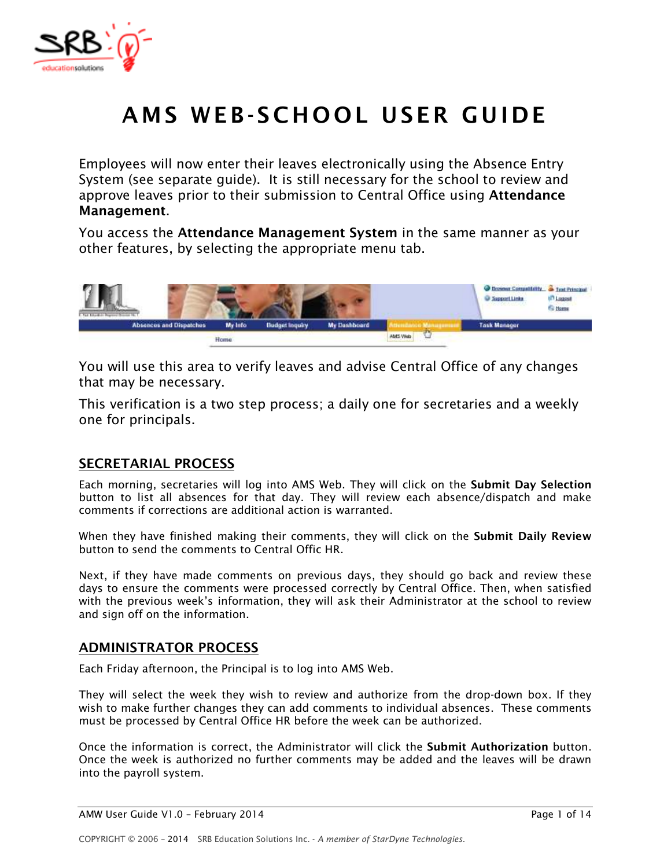

# AMS WEB-SCHOOL USER GUIDE

*Employees will now enter their leaves electronically using the Absence Entry System (see separate guide). It is still necessary for the school to review and approve leaves prior to their submission to Central Office using* **Attendance Management***.* 

*You access the* **Attendance Management System** *in the same manner as your other features, by selecting the appropriate menu tab.* 



*You will use this area to verify leaves and advise Central Office of any changes that may be necessary.* 

*This verification is a two step process; a daily one for secretaries and a weekly one for principals.* 

### **SECRETARIAL PROCESS**

*Each morning, secretaries will log into AMS Web. They will click on the* **Submit Day Selection** *button to list all absences for that day. They will review each absence/dispatch and make comments if corrections are additional action is warranted.* 

When they have finished making their comments, they will click on the **Submit Daily Review** *button to send the comments to Central Offic HR.* 

*Next, if they have made comments on previous days, they should go back and review these days to ensure the comments were processed correctly by Central Office. Then, when satisfied with the previous week's information, they will ask their Administrator at the school to review and sign off on the information.* 

### **ADMINISTRATOR PROCESS**

*Each Friday afternoon, the Principal is to log into AMS Web.* 

*They will select the week they wish to review and authorize from the drop-down box. If they wish to make further changes they can add comments to individual absences. These comments must be processed by Central Office HR before the week can be authorized.* 

*Once the information is correct, the Administrator will click the* **Submit Authorization** *button. Once the week is authorized no further comments may be added and the leaves will be drawn into the payroll system.*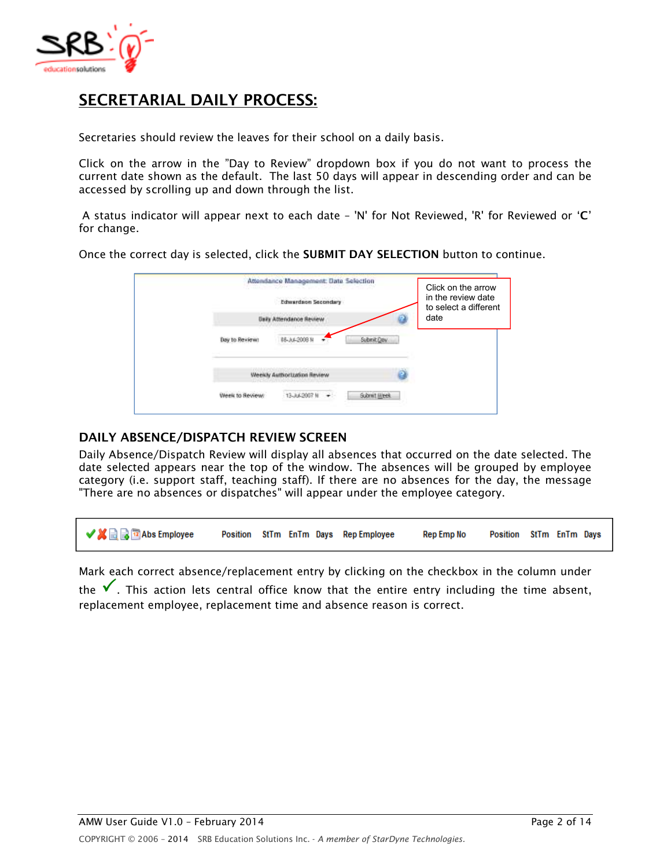

# **SECRETARIAL DAILY PROCESS:**

*Secretaries should review the leaves for their school on a daily basis.* 

*Click on the arrow in the "Day to Review" dropdown box if you do not want to process the current date shown as the default. The last 50 days will appear in descending order and can be accessed by scrolling up and down through the list.*

 *A status indicator will appear next to each date – 'N' for Not Reviewed, 'R' for Reviewed or '***C***' for change.* 

*Once the correct day is selected, click the* **SUBMIT DAY SELECTION** *button to continue.* 

|                | Attendance Management: Date Selection<br>() NGC 2012/09/09 - 대체 일본 경우가 시간에 있습니다.<br>Edwardson Secondary<br><b>Investagen Brussey</b> |             | Click on the arrow<br>in the review date<br>to select a different<br>date |
|----------------|--------------------------------------------------------------------------------------------------------------------------------------|-------------|---------------------------------------------------------------------------|
| Day to Reviews | B6.34.2003.1                                                                                                                         | Submit Cow  |                                                                           |
|                | the process products and a second<br>Weekly Authorization Review                                                                     |             |                                                                           |
|                |                                                                                                                                      | Submit Week |                                                                           |

#### **DAILY ABSENCE/DISPATCH REVIEW SCREEN**

*Daily Absence/Dispatch Review will display all absences that occurred on the date selected. The date selected appears near the top of the window. The absences will be grouped by employee category (i.e. support staff, teaching staff). If there are no absences for the day, the message "There are no absences or dispatches" will appear under the employee category.* 

✔■■■■ Abs Employee Position StTm EnTm Days Rep Employee Rep Emp No Position StTm EnTm Days

*Mark each correct absence/replacement entry by clicking on the checkbox in the column under* 

*the . This action lets central office know that the entire entry including the time absent, replacement employee, replacement time and absence reason is correct.*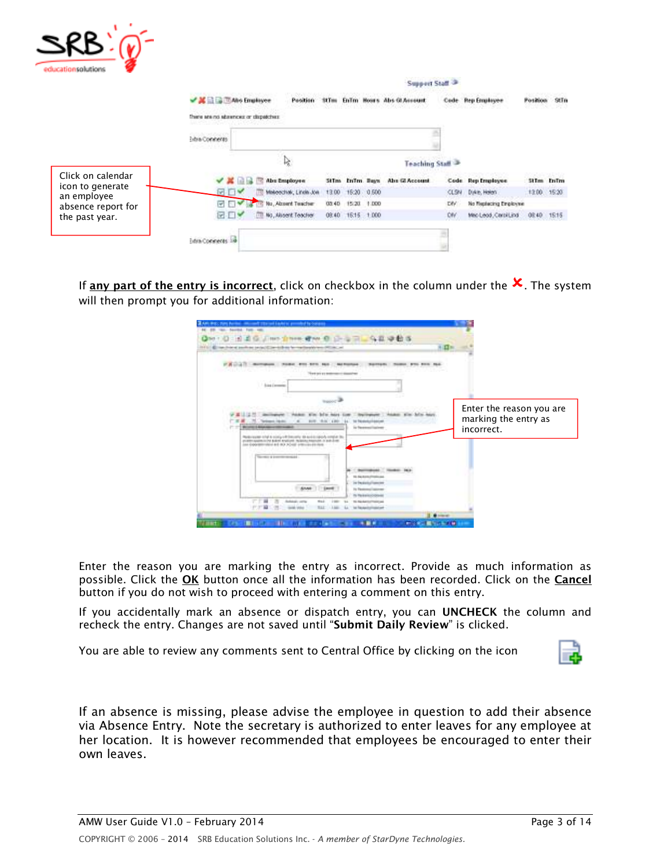| ٠<br>educationsolutions         |                                      |                                      |              |            |             |                                  |           |                        |             |           |
|---------------------------------|--------------------------------------|--------------------------------------|--------------|------------|-------------|----------------------------------|-----------|------------------------|-------------|-----------|
|                                 |                                      |                                      |              |            |             | <b>Support Staff<sup>3</sup></b> |           |                        |             |           |
|                                 | <b>V M El El TAbo Employee</b>       |                                      | <b>StTes</b> |            |             | Enlim Hours Abs GLAsseum         | Cade:     | <b>Ben Frontover</b>   | Position    | StTn      |
|                                 | There are no absences or dispatches  |                                      |              |            |             |                                  |           |                        |             |           |
|                                 | <b>SERVICES OF</b><br>Extra Comments |                                      |              |            |             |                                  |           |                        |             |           |
|                                 |                                      |                                      |              |            |             | Teaching Staff                   |           |                        |             |           |
| Click on calendar               |                                      | <b>Abu Employee</b><br>œ             | <b>StTma</b> | InTm. Bays |             | Abs GLAccount                    |           | Code Rep Employee      |             | 5tTm EnTm |
| icon to generate<br>an employee | $W$ $\rightarrow$                    | Makeschak, Linda Jon                 | 13.00        |            | 16:20 0.500 |                                  | CLSN      | Dirke, Helen.          | 12.00 15:20 |           |
| absence report for              | W<br><b>FIV</b>                      | <b>Just (18) No., Absord Teacher</b> | (37.45)      | 15/20      | 1.000       |                                  | τw        | No fisplacing Employee |             |           |
| the past year.                  | œ                                    | [11] No., Alusent Teacher            | 08.40        | 16:15      | 1000        |                                  | <b>DW</b> | Meo Leod, Carol Lind   | 08:40       | 1515      |
|                                 | Extra Commertes                      |                                      |              |            |             |                                  |           |                        |             |           |

If <mark>any part of the entry is incorrect</mark>, click on checkbox in the column under the  $\overline{\mathsf{x}}$  . The system *will then prompt you for additional information:* 

| lands and package projections to the commitments was          |                                                                                                                                                                                        |                                                                                                   |                                                                |  |
|---------------------------------------------------------------|----------------------------------------------------------------------------------------------------------------------------------------------------------------------------------------|---------------------------------------------------------------------------------------------------|----------------------------------------------------------------|--|
|                                                               | The Art of a believes of disease and                                                                                                                                                   |                                                                                                   |                                                                |  |
| 1 Sing Corporate                                              |                                                                                                                                                                                        |                                                                                                   |                                                                |  |
| Telepolitikan<br><b>British &amp; Alexandre Miller Avenue</b> | <b>BOW-RACCARD</b><br>$\rightarrow$<br>14                                                                                                                                              | to Nonstallania<br>is facewallaber                                                                | Enter the reason you are<br>marking the entry as<br>incorrect. |  |
|                                                               | Redevelop shake simply think only to activitate a contact to<br>PLERY GASTELY AN AVAILABLE PARTIES TO AN AVAILABLE TO AN ART<br>into Coportifications and HO (ACHIEF antiquity allowed |                                                                                                   |                                                                |  |
| South a boom model                                            |                                                                                                                                                                                        |                                                                                                   |                                                                |  |
|                                                               |                                                                                                                                                                                        | <b>N. Reckonstructions</b><br>To Perdictual Insector<br>Is Federal Islam<br>Its Reikeleocraticals |                                                                |  |

*Enter the reason you are marking the entry as incorrect. Provide as much information as possible. Click the* **OK** *button once all the information has been recorded. Click on the* **Cancel** *button if you do not wish to proceed with entering a comment on this entry.* 

*If you accidentally mark an absence or dispatch entry, you can* **UNCHECK** *the column and recheck the entry. Changes are not saved until "***Submit Daily Review***" is clicked.* 

*You are able to review any comments sent to Central Office by clicking on the icon* 



*If an absence is missing, please advise the employee in question to add their absence via Absence Entry. Note the secretary is authorized to enter leaves for any employee at her location. It is however recommended that employees be encouraged to enter their own leaves.*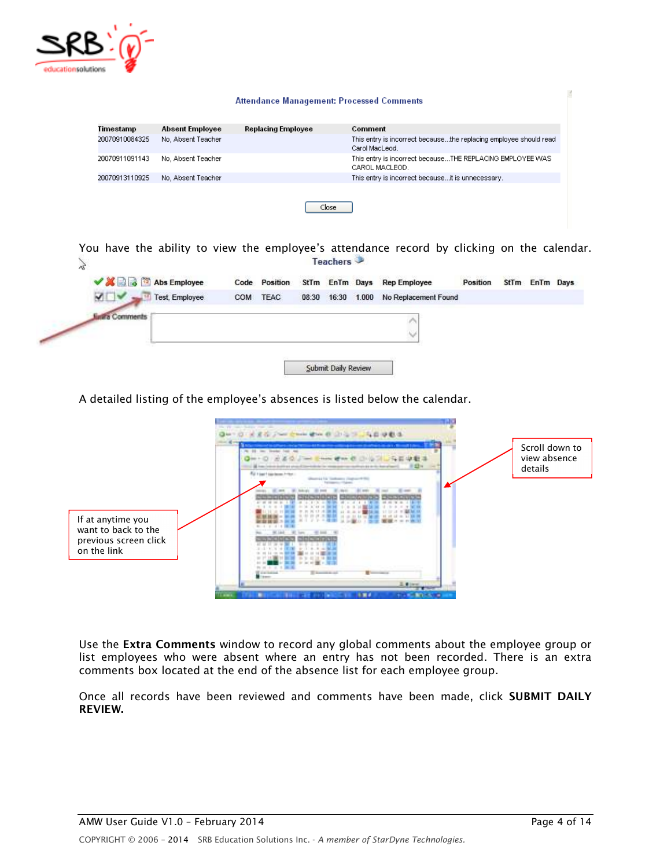

| Timestamp      |                        |                           | Comment                                                                             |
|----------------|------------------------|---------------------------|-------------------------------------------------------------------------------------|
|                | <b>Absent Employee</b> | <b>Replacing Employee</b> |                                                                                     |
| 20070910084325 | No. Absent Teacher     |                           | This entry is incorrect becausethe replacing employee should read<br>Carol MacLeod. |
| 20070911091143 | No, Absent Teacher     |                           | This entry is incorrect becauseTHE REPLACING EMPLOYEE WAS<br>CAROL MACLEOD.         |
| 20070913110925 | No, Absent Teacher     |                           | This entry is incorrect becauseit is unnecessary.                                   |
|                |                        | Close                     |                                                                                     |

*You have the ability to view the employee's attendance record by clicking on the calendar.*  Teachers  $\frac{2}{6}$ 



*A detailed listing of the employee's absences is listed below the calendar.* 



*Use the* **Extra Comments** *window to record any global comments about the employee group or*  list employees who were absent where an entry has not been recorded. There is an extra *comments box located at the end of the absence list for each employee group.* 

*Once all records have been reviewed and comments have been made, click* **SUBMIT DAILY REVIEW.**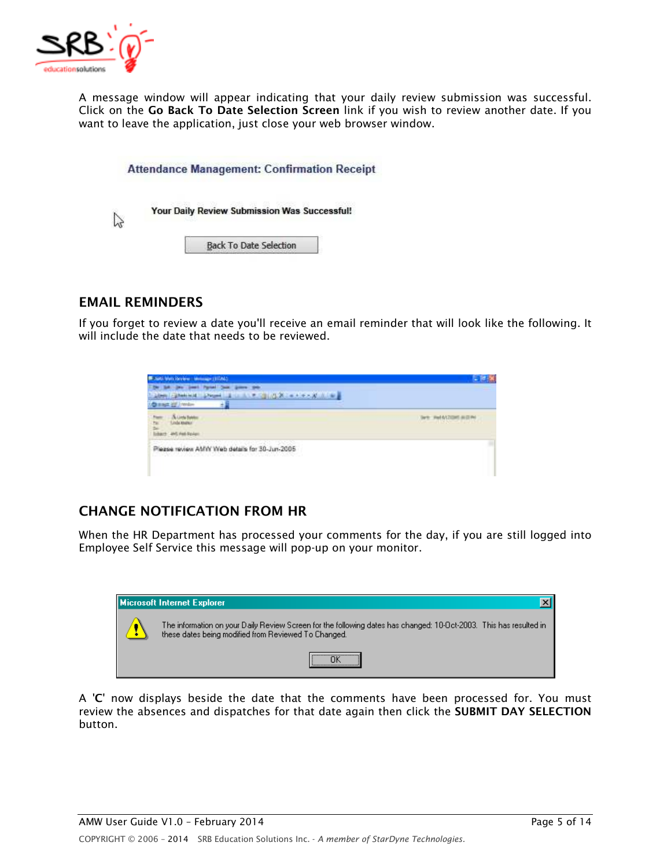

*A message window will appear indicating that your daily review submission was successful. Click on the* **Go Back To Date Selection Screen** *link if you wish to review another date. If you want to leave the application, just close your web browser window.* 

| <b>Attendance Management: Confirmation Receipt</b> |
|----------------------------------------------------|
| Your Daily Review Submission Was Successful!       |
| <b>Back To Date Selection</b>                      |

### **EMAIL REMINDERS**

*If you forget to review a date you'll receive an email reminder that will look like the following. It will include the date that needs to be reviewed.* 

| Control Market - welcom Market 2002                                                                                                   |                                             |
|---------------------------------------------------------------------------------------------------------------------------------------|---------------------------------------------|
| <b>LET IN CHARGE A FAMILY</b><br>1. Allmare   - Allmark Inc. All  A Progress                                                          |                                             |
| <b>Dissa Hill Innier</b>                                                                                                              |                                             |
| <b>TH</b>                                                                                                                             | WITH HITML<br><b>THE REPORT OF A REPORT</b> |
| <b>CONTRACTOR</b><br>Please review AMW Web details for 30-Jun-2005<br>() 2012년 10월 20일 사이에서 10월 20일 10월 20일 10월 20일 10월 20일 10월 20일 1 |                                             |

## **CHANGE NOTIFICATION FROM HR**

*When the HR Department has processed your comments for the day, if you are still logged into Employee Self Service this message will pop-up on your monitor.* 



*A '***C***' now displays beside the date that the comments have been processed for. You must*  review the absences and dispatches for that date again then click the **SUBMIT DAY SELECTION** *button.*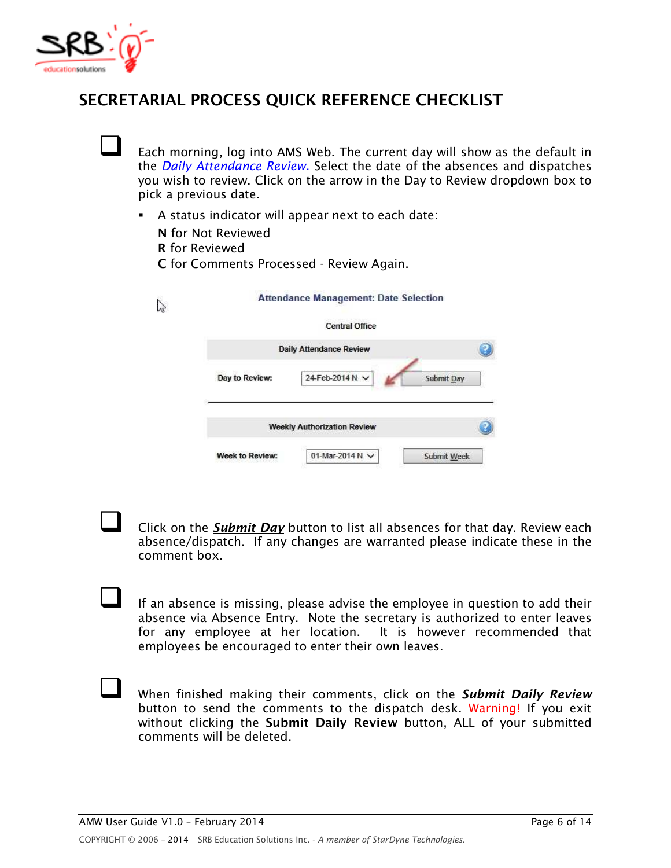

# **SECRETARIAL PROCESS QUICK REFERENCE CHECKLIST**

 *Each morning, log into AMS Web. The current day will show as the default in the Daily Attendance Review. Select the date of the absences and dispatches you wish to review. Click on the arrow in the Day to Review dropdown box to pick a previous date.* 

-*A status indicator will appear next to each date:* 

**N** *for Not Reviewed* 

**R** *for Reviewed* 

 $\mathcal{L}$ 

**C** *for Comments Processed - Review Again.* 

|                | <b>Central Office</b>              |            |
|----------------|------------------------------------|------------|
|                | <b>Daily Attendance Review</b>     |            |
| Day to Review: | 24-Feb-2014 N V                    | Submit Day |
|                | <b>Weekly Authorization Review</b> |            |

 *Click on the Submit Day button to list all absences for that day. Review each absence/dispatch. If any changes are warranted please indicate these in the comment box.* 

 *If an absence is missing, please advise the employee in question to add their absence via Absence Entry. Note the secretary is authorized to enter leaves for any employee at her location. It is however recommended that employees be encouraged to enter their own leaves.* 

 *When finished making their comments, click on the Submit Daily Review button to send the comments to the dispatch desk. Warning! If you exit without clicking the* **Submit Daily Review** *button, ALL of your submitted comments will be deleted.*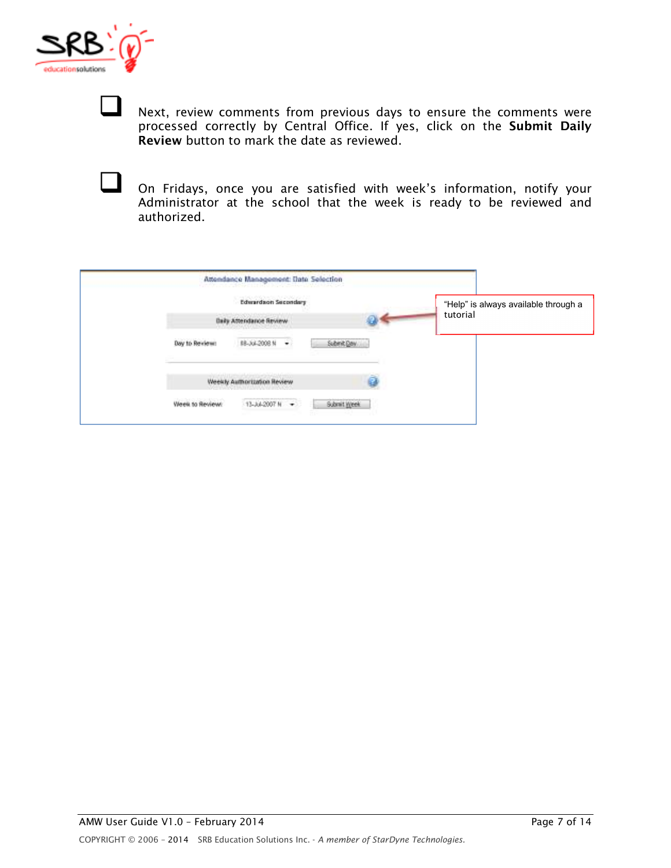

 *Next, review comments from previous days to ensure the comments were processed correctly by Central Office. If yes, click on the* **Submit Daily Review** *button to mark the date as reviewed.* 

| On Fridays, once you are satisfied with week's information, notify your              |
|--------------------------------------------------------------------------------------|
| Administrator at the school that the week is ready to be reviewed and<br>authorized. |

|                 | Attendance Management: Date Selection |             |                                      |
|-----------------|---------------------------------------|-------------|--------------------------------------|
|                 | Edwardson Secondary                   |             | "Help" is always available through a |
|                 | Daily Attendance Review               |             | tutorial                             |
| Day to Review:  | ٠<br>\$8-3x4-2008.M                   | Submit Day  |                                      |
|                 | Weekly Authorization Review           |             |                                      |
| Week to Review: | 13-AA-2007 N +                        | Submit Week |                                      |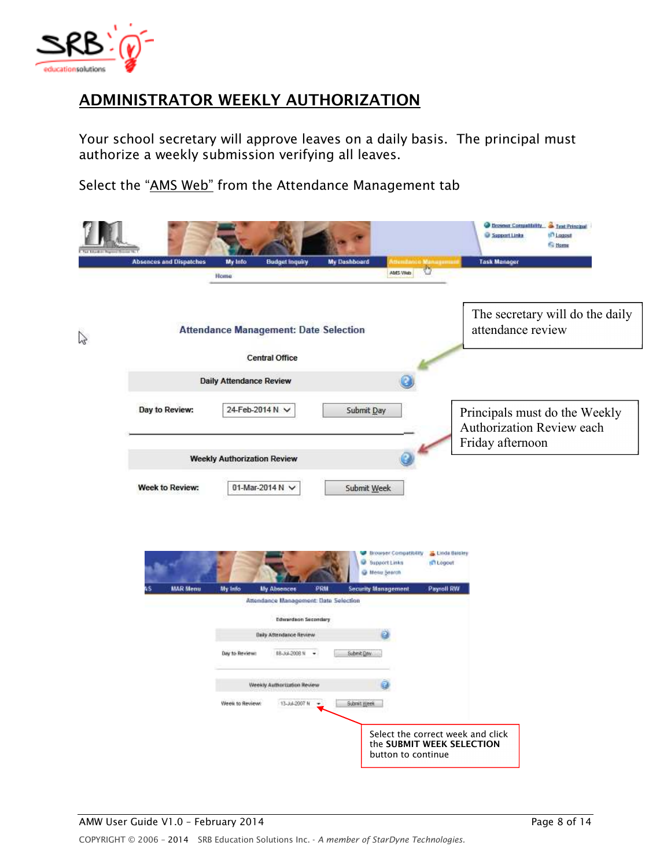

# **ADMINISTRATOR WEEKLY AUTHORIZATION**

*Your school secretary will approve leaves on a daily basis. The principal must authorize a weekly submission verifying all leaves.*

*Select the "AMS Web" from the Attendance Management tab* 

|   | <b>Absences and Dispatches</b> | My Info<br><b>Budget inquiry</b>                                | <b>My Dashboard</b> | to Managema                                                                                                                          | <b>Browser Compatibility &amp; Test Principal</b><br>C Support Links<br><b>Income</b><br><b><i><u>Si Home</u></i></b><br><b>Task Manager</b> |
|---|--------------------------------|-----------------------------------------------------------------|---------------------|--------------------------------------------------------------------------------------------------------------------------------------|----------------------------------------------------------------------------------------------------------------------------------------------|
|   |                                | Home                                                            |                     | AMS Visb.                                                                                                                            |                                                                                                                                              |
| Z |                                | <b>Attendance Management: Date Selection</b>                    |                     |                                                                                                                                      | The secretary will do the daily<br>attendance review                                                                                         |
|   |                                | <b>Central Office</b>                                           |                     |                                                                                                                                      |                                                                                                                                              |
|   |                                | <b>Daily Attendance Review</b>                                  |                     |                                                                                                                                      |                                                                                                                                              |
|   | Day to Review:                 | 24-Feb-2014 N V                                                 |                     | Submit Day                                                                                                                           | Principals must do the Weekly<br>Authorization Review each<br>Friday afternoon                                                               |
|   |                                | <b>Weekly Authorization Review</b>                              |                     |                                                                                                                                      |                                                                                                                                              |
|   | Week to Review:                | 01-Mar-2014 N V                                                 |                     | Submit Week                                                                                                                          |                                                                                                                                              |
|   | <b>MAR Menu</b>                | My Info<br>My Absences<br>Attendance Management: Date Selection | PRM                 | Browser Compatibility<br><b>W</b> Support Links<br><b>Integret</b><br>Henu Search<br><b>Payroll RW</b><br><b>Security Management</b> | Linda Baisley                                                                                                                                |
|   |                                | <b>Edurardaon Secondary</b>                                     |                     |                                                                                                                                      |                                                                                                                                              |
|   |                                | <b>Daily Attendance Review</b>                                  |                     |                                                                                                                                      |                                                                                                                                              |
|   |                                | Day to Review:<br>88-Jul-2008 N<br>$\overline{\phantom{a}}$     | Submit Day          |                                                                                                                                      |                                                                                                                                              |
|   |                                | Weekly Authorization Review                                     |                     |                                                                                                                                      |                                                                                                                                              |
|   |                                | Week to Review:<br>13-Jul-2007 N                                | Submit Week<br>٠    |                                                                                                                                      |                                                                                                                                              |
|   |                                |                                                                 |                     | Select the correct week and click<br>the SUBMIT WEEK SELECTION<br>button to continue                                                 |                                                                                                                                              |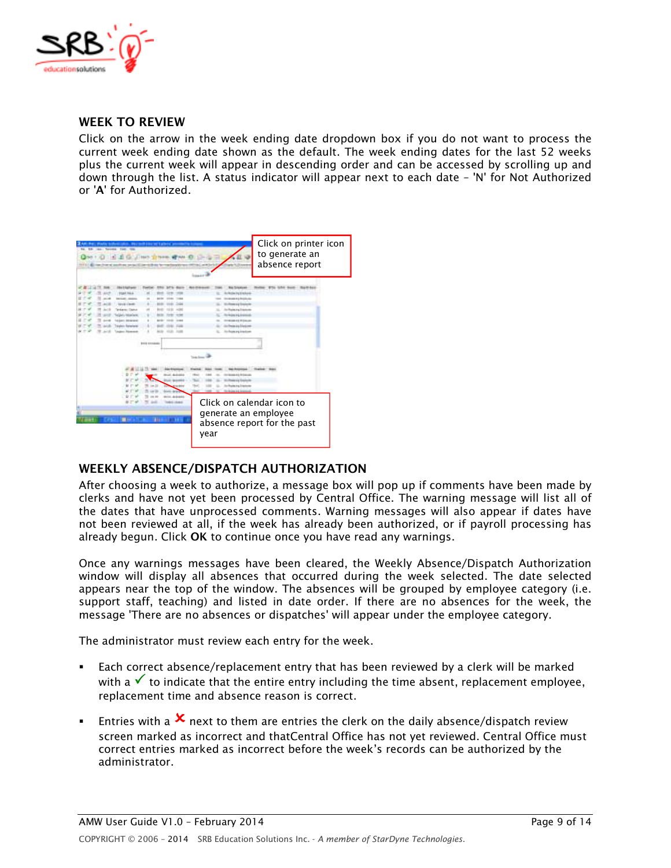

#### **WEEK TO REVIEW**

*Click on the arrow in the week ending date dropdown box if you do not want to process the current week ending date shown as the default. The week ending dates for the last 52 weeks plus the current week will appear in descending order and can be accessed by scrolling up and down through the list. A status indicator will appear next to each date – 'N' for Not Authorized or '***A***' for Authorized.* 

| lastic between plans. We'll lead over he's private phonosofte in<br>1.00<br><b>STATE</b><br>1140 S. Galleries<br>(3 to 1 (2)                                     | Click on printer icon<br>to generate an<br>absence report<br><b><i><u>Green Art</u></i></b>                                                                                               |
|------------------------------------------------------------------------------------------------------------------------------------------------------------------|-------------------------------------------------------------------------------------------------------------------------------------------------------------------------------------------|
| 1044 114 4<br><b>ALCOHOL: CONTRACTOR</b><br><b>Wildelm Close</b><br>per y littoriani<br>Albani, Intraksiya<br>syler: Estation<br><b><i>RIVA CONSIGNATION</i></b> | <b>Nide-Ing Enchant</b><br><b>HARALD BILLING</b><br>Power of English<br>Information Electronic<br>trikipeini, juunn<br>10-24-11 F (m.m.<br>inference blastow<br><b>Infection Engineer</b> |
| --<br>44444<br><b>Allegal Presidents</b>                                                                                                                         | Total Green<br><b>GALIS ESSA</b><br>Roadwork & Engineering<br>Click on calendar icon to<br>generate an employee<br>absence report for the past<br>year                                    |

#### **WEEKLY ABSENCE/DISPATCH AUTHORIZATION**

*After choosing a week to authorize, a message box will pop up if comments have been made by clerks and have not yet been processed by Central Office. The warning message will list all of the dates that have unprocessed comments. Warning messages will also appear if dates have not been reviewed at all, if the week has already been authorized, or if payroll processing has already begun. Click* **OK** *to continue once you have read any warnings.* 

*Once any warnings messages have been cleared, the Weekly Absence/Dispatch Authorization window will display all absences that occurred during the week selected. The date selected appears near the top of the window. The absences will be grouped by employee category (i.e. support staff, teaching) and listed in date order. If there are no absences for the week, the message 'There are no absences or dispatches' will appear under the employee category.* 

*The administrator must review each entry for the week.* 

- - *Each correct absence/replacement entry that has been reviewed by a clerk will be marked*  with a  $\checkmark$  to indicate that the entire entry including the time absent, replacement employee, *replacement time and absence reason is correct.*
- - *Entries with a* -*next to them are entries the clerk on the daily absence/dispatch review screen marked as incorrect and thatCentral Office has not yet reviewed. Central Office must correct entries marked as incorrect before the week's records can be authorized by the administrator.*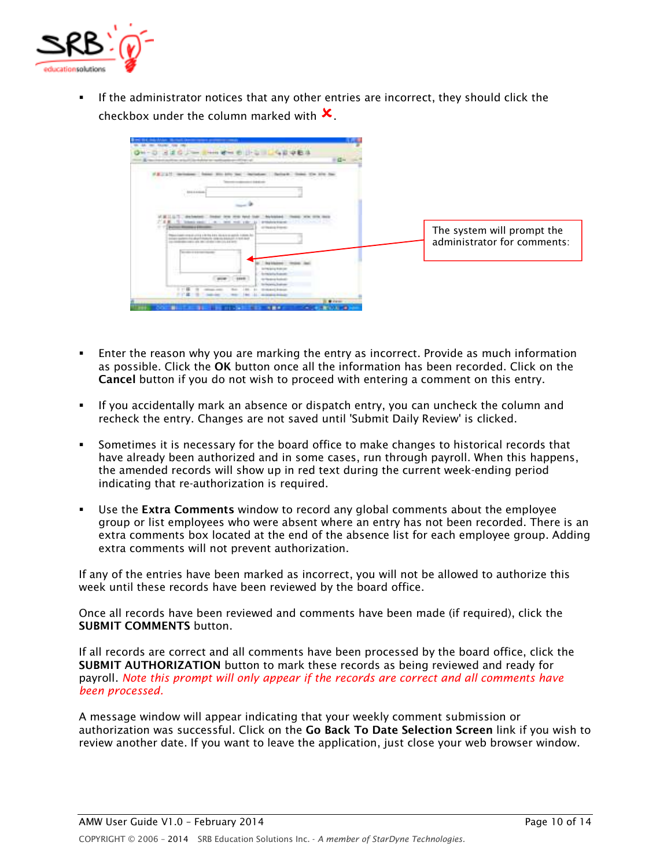

- *If the administrator notices that any other entries are incorrect, they should click the checkbox under the column marked with*  $\times$ 



- - *Enter the reason why you are marking the entry as incorrect. Provide as much information as possible. Click the* **OK** *button once all the information has been recorded. Click on the*  **Cancel** *button if you do not wish to proceed with entering a comment on this entry.*
- - *If you accidentally mark an absence or dispatch entry, you can uncheck the column and recheck the entry. Changes are not saved until 'Submit Daily Review' is clicked.*
- - *Sometimes it is necessary for the board office to make changes to historical records that have already been authorized and in some cases, run through payroll. When this happens, the amended records will show up in red text during the current week-ending period indicating that re-authorization is required.*
- - *Use the* **Extra Comments** *window to record any global comments about the employee group or list employees who were absent where an entry has not been recorded. There is an*  extra comments box located at the end of the absence list for each employee group. Adding *extra comments will not prevent authorization.*

*If any of the entries have been marked as incorrect, you will not be allowed to authorize this week until these records have been reviewed by the board office.* 

*Once all records have been reviewed and comments have been made (if required), click the*  **SUBMIT COMMENTS** *button.* 

*If all records are correct and all comments have been processed by the board office, click the*  **SUBMIT AUTHORIZATION** *button to mark these records as being reviewed and ready for payroll. Note this prompt will only appear if the records are correct and all comments have been processed.* 

*A message window will appear indicating that your weekly comment submission or authorization was successful. Click on the* **Go Back To Date Selection Screen** *link if you wish to review another date. If you want to leave the application, just close your web browser window.*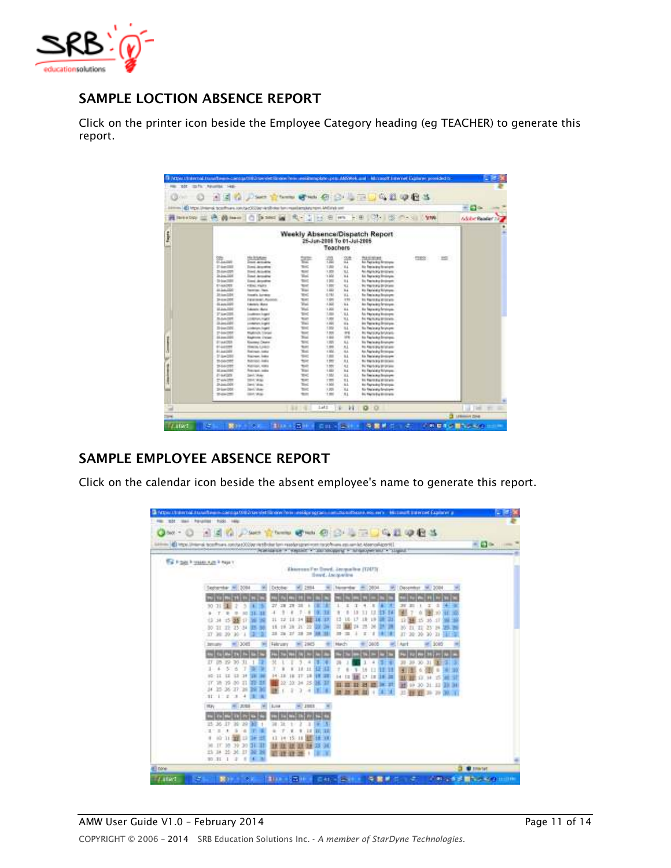

# **SAMPLE LOCTION ABSENCE REPORT**

*Click on the printer icon beside the Employee Category heading (eg TEACHER) to generate this report.* 

| hereby 三元 Almen   C [same in   凡· 1   1   8   m   + 8   17   15 の - 4   Ym<br>Weekly Absence/Dispatch Report<br>25-Jun-2006 To 01-Jul-2005<br><b>Toachers</b><br><b>His Brigatowe</b><br>쮼<br><b>Radiation</b><br>B.<br>쁀<br>韹<br>mex<br>951<br><b>No Fast artists for ensure</b><br><b><i>Inchestrate</i></b><br>214-008<br>ъ×<br>120<br>41<br><b>No Testa any financient</b><br>Town, Januaries<br>tor<br><b>N.C.</b><br>75.0 per 2707<br><b>THAT ALLASH</b><br>1,959<br>N. National Britishers<br><b>Wal</b><br>1308<br>2446,268<br>14.4<br>las Replacing Brokester<br><b><i><u>linut Armidral</u></i></b><br>tric<br>314x188<br>1301<br>84<br>Enel Annehu<br>In Faricky Instead<br>tor<br><b>ELAKORT</b><br><b>VIDAL HARA</b><br>1,991<br><b>KZ</b><br>To Yaptury to them<br>44.344.7820<br>Tiai<br>1.555<br>u.<br><b>Instrume Start</b><br><b>Hu Equipidia Nilatana</b><br>314-324<br><b>THE</b><br>0.193<br>H.L.<br><b>Houston, Survivier</b><br>To: The lock or Drivingers<br><b>Shaw DIST</b><br><b>THE</b><br>1.95<br>1991<br>Figures and L. Revolution<br>by Farm For Friends<br><b>Tol</b><br>1,360<br>SL 2-to 2001<br><b>Edulato Mata</b><br>84<br>in Farado Fringe<br><b>Wall</b><br>31 July 2300<br><b>Education Black</b><br>1,303<br>ii.<br>to Novakiy brokus.<br>216-201<br>166<br>1.86<br>u.<br><b>Lo Periodic Rosson</b><br><b>Linderson higher</b><br>\$1,044,000<br>triet<br>1,955<br>u.<br>LENDUAL FINDS<br>N Fark Ay Strands<br>Total<br>$24 - 240$<br>130<br>64<br>in Fara ku Irsiisa<br>containers logist<br><b>TOK</b><br>u.<br>$204 - 200$<br>100<br><b>No Pestimate Territories</b><br><b>Lindersma Traphi</b><br>2144-285<br>tour<br>1,939<br><b>IFSI</b><br><b>Makinda Steam</b><br><b>BU RAFRUIN BOARD</b><br>Total<br>in the<br>1.848<br>31 km 2000<br><b>BARON VIEW</b><br>to faciuka Imiresi<br>10<<br>(30)<br>H.L.<br>\$1.64,003<br><b>Kischey, Dealer</b><br><b>He Perimany Engineers</b><br>turi<br>01440399<br>1.96<br>s.<br><b>TRAVIA LIACO</b><br><b>In Render Midlan</b><br>Total<br>81,642,000<br>1302<br>si.<br>Rainer, Jake<br>to Autodo Ecologic<br><b>SHO</b><br>$214 - 280$<br>1,881<br>u.<br><b>Racingal</b> , balks<br><b>Els Thelandry Drilligne</b><br><b>Bibriol</b> : Jobs<br>trie<br>81<br>T0-544-0970<br>1,985<br>By The S. F. Brittown<br>25-54-039<br><b>National Make</b><br>tott<br>H.E<br>1,500<br>The Way Life of the Unions<br>Total<br>$+165$<br>u.c<br>EL avancidad<br>Retrievi, Jolia<br><b>Ho Faciulate Riformano</b><br>n <<br>0144201<br>Sell, Water<br>1.502<br>si.<br>The Timelackup Despinywe<br>TOP.<br>21 exhibit<br>H1<br>2004 M-SE<br>1200<br>by Rent Fo Primers<br>Text.<br>$344 - 160$<br>1.366<br>ii.L<br>David Value<br>to farsko Irsios<br>Tor.<br>20 km (20)<br><b>Seni, Vice-</b><br>1,303<br>H.L<br>für finderalig Gradians<br>ton<br><b>SEAT, VALUE</b><br>1,00<br>11<br>th-ca-2001<br>In New Eye Britishers |  | El Mps Unions, scotts es 100/543000 virtibiles for i mastersbyznoni. Milindron |  |  |  | $+$ C $\sim$ |
|--------------------------------------------------------------------------------------------------------------------------------------------------------------------------------------------------------------------------------------------------------------------------------------------------------------------------------------------------------------------------------------------------------------------------------------------------------------------------------------------------------------------------------------------------------------------------------------------------------------------------------------------------------------------------------------------------------------------------------------------------------------------------------------------------------------------------------------------------------------------------------------------------------------------------------------------------------------------------------------------------------------------------------------------------------------------------------------------------------------------------------------------------------------------------------------------------------------------------------------------------------------------------------------------------------------------------------------------------------------------------------------------------------------------------------------------------------------------------------------------------------------------------------------------------------------------------------------------------------------------------------------------------------------------------------------------------------------------------------------------------------------------------------------------------------------------------------------------------------------------------------------------------------------------------------------------------------------------------------------------------------------------------------------------------------------------------------------------------------------------------------------------------------------------------------------------------------------------------------------------------------------------------------------------------------------------------------------------------------------------------------------------------------------------------------------------------------------------------------------------------------------------------------------------------------------------------------------------------------------------------------------------------------------------------------------------------------------------------------------------------------------------------------------------------------------------------------------------------------------------------------------------------|--|--------------------------------------------------------------------------------|--|--|--|--------------|
|                                                                                                                                                                                                                                                                                                                                                                                                                                                                                                                                                                                                                                                                                                                                                                                                                                                                                                                                                                                                                                                                                                                                                                                                                                                                                                                                                                                                                                                                                                                                                                                                                                                                                                                                                                                                                                                                                                                                                                                                                                                                                                                                                                                                                                                                                                                                                                                                                                                                                                                                                                                                                                                                                                                                                                                                                                                                                                  |  |                                                                                |  |  |  | Adobe Reader |
|                                                                                                                                                                                                                                                                                                                                                                                                                                                                                                                                                                                                                                                                                                                                                                                                                                                                                                                                                                                                                                                                                                                                                                                                                                                                                                                                                                                                                                                                                                                                                                                                                                                                                                                                                                                                                                                                                                                                                                                                                                                                                                                                                                                                                                                                                                                                                                                                                                                                                                                                                                                                                                                                                                                                                                                                                                                                                                  |  |                                                                                |  |  |  |              |
|                                                                                                                                                                                                                                                                                                                                                                                                                                                                                                                                                                                                                                                                                                                                                                                                                                                                                                                                                                                                                                                                                                                                                                                                                                                                                                                                                                                                                                                                                                                                                                                                                                                                                                                                                                                                                                                                                                                                                                                                                                                                                                                                                                                                                                                                                                                                                                                                                                                                                                                                                                                                                                                                                                                                                                                                                                                                                                  |  |                                                                                |  |  |  |              |
|                                                                                                                                                                                                                                                                                                                                                                                                                                                                                                                                                                                                                                                                                                                                                                                                                                                                                                                                                                                                                                                                                                                                                                                                                                                                                                                                                                                                                                                                                                                                                                                                                                                                                                                                                                                                                                                                                                                                                                                                                                                                                                                                                                                                                                                                                                                                                                                                                                                                                                                                                                                                                                                                                                                                                                                                                                                                                                  |  |                                                                                |  |  |  |              |
|                                                                                                                                                                                                                                                                                                                                                                                                                                                                                                                                                                                                                                                                                                                                                                                                                                                                                                                                                                                                                                                                                                                                                                                                                                                                                                                                                                                                                                                                                                                                                                                                                                                                                                                                                                                                                                                                                                                                                                                                                                                                                                                                                                                                                                                                                                                                                                                                                                                                                                                                                                                                                                                                                                                                                                                                                                                                                                  |  |                                                                                |  |  |  |              |
|                                                                                                                                                                                                                                                                                                                                                                                                                                                                                                                                                                                                                                                                                                                                                                                                                                                                                                                                                                                                                                                                                                                                                                                                                                                                                                                                                                                                                                                                                                                                                                                                                                                                                                                                                                                                                                                                                                                                                                                                                                                                                                                                                                                                                                                                                                                                                                                                                                                                                                                                                                                                                                                                                                                                                                                                                                                                                                  |  |                                                                                |  |  |  |              |
|                                                                                                                                                                                                                                                                                                                                                                                                                                                                                                                                                                                                                                                                                                                                                                                                                                                                                                                                                                                                                                                                                                                                                                                                                                                                                                                                                                                                                                                                                                                                                                                                                                                                                                                                                                                                                                                                                                                                                                                                                                                                                                                                                                                                                                                                                                                                                                                                                                                                                                                                                                                                                                                                                                                                                                                                                                                                                                  |  |                                                                                |  |  |  |              |
|                                                                                                                                                                                                                                                                                                                                                                                                                                                                                                                                                                                                                                                                                                                                                                                                                                                                                                                                                                                                                                                                                                                                                                                                                                                                                                                                                                                                                                                                                                                                                                                                                                                                                                                                                                                                                                                                                                                                                                                                                                                                                                                                                                                                                                                                                                                                                                                                                                                                                                                                                                                                                                                                                                                                                                                                                                                                                                  |  |                                                                                |  |  |  |              |
|                                                                                                                                                                                                                                                                                                                                                                                                                                                                                                                                                                                                                                                                                                                                                                                                                                                                                                                                                                                                                                                                                                                                                                                                                                                                                                                                                                                                                                                                                                                                                                                                                                                                                                                                                                                                                                                                                                                                                                                                                                                                                                                                                                                                                                                                                                                                                                                                                                                                                                                                                                                                                                                                                                                                                                                                                                                                                                  |  |                                                                                |  |  |  |              |
|                                                                                                                                                                                                                                                                                                                                                                                                                                                                                                                                                                                                                                                                                                                                                                                                                                                                                                                                                                                                                                                                                                                                                                                                                                                                                                                                                                                                                                                                                                                                                                                                                                                                                                                                                                                                                                                                                                                                                                                                                                                                                                                                                                                                                                                                                                                                                                                                                                                                                                                                                                                                                                                                                                                                                                                                                                                                                                  |  |                                                                                |  |  |  |              |
|                                                                                                                                                                                                                                                                                                                                                                                                                                                                                                                                                                                                                                                                                                                                                                                                                                                                                                                                                                                                                                                                                                                                                                                                                                                                                                                                                                                                                                                                                                                                                                                                                                                                                                                                                                                                                                                                                                                                                                                                                                                                                                                                                                                                                                                                                                                                                                                                                                                                                                                                                                                                                                                                                                                                                                                                                                                                                                  |  |                                                                                |  |  |  |              |
|                                                                                                                                                                                                                                                                                                                                                                                                                                                                                                                                                                                                                                                                                                                                                                                                                                                                                                                                                                                                                                                                                                                                                                                                                                                                                                                                                                                                                                                                                                                                                                                                                                                                                                                                                                                                                                                                                                                                                                                                                                                                                                                                                                                                                                                                                                                                                                                                                                                                                                                                                                                                                                                                                                                                                                                                                                                                                                  |  |                                                                                |  |  |  |              |
|                                                                                                                                                                                                                                                                                                                                                                                                                                                                                                                                                                                                                                                                                                                                                                                                                                                                                                                                                                                                                                                                                                                                                                                                                                                                                                                                                                                                                                                                                                                                                                                                                                                                                                                                                                                                                                                                                                                                                                                                                                                                                                                                                                                                                                                                                                                                                                                                                                                                                                                                                                                                                                                                                                                                                                                                                                                                                                  |  |                                                                                |  |  |  |              |
|                                                                                                                                                                                                                                                                                                                                                                                                                                                                                                                                                                                                                                                                                                                                                                                                                                                                                                                                                                                                                                                                                                                                                                                                                                                                                                                                                                                                                                                                                                                                                                                                                                                                                                                                                                                                                                                                                                                                                                                                                                                                                                                                                                                                                                                                                                                                                                                                                                                                                                                                                                                                                                                                                                                                                                                                                                                                                                  |  |                                                                                |  |  |  |              |
|                                                                                                                                                                                                                                                                                                                                                                                                                                                                                                                                                                                                                                                                                                                                                                                                                                                                                                                                                                                                                                                                                                                                                                                                                                                                                                                                                                                                                                                                                                                                                                                                                                                                                                                                                                                                                                                                                                                                                                                                                                                                                                                                                                                                                                                                                                                                                                                                                                                                                                                                                                                                                                                                                                                                                                                                                                                                                                  |  |                                                                                |  |  |  |              |
|                                                                                                                                                                                                                                                                                                                                                                                                                                                                                                                                                                                                                                                                                                                                                                                                                                                                                                                                                                                                                                                                                                                                                                                                                                                                                                                                                                                                                                                                                                                                                                                                                                                                                                                                                                                                                                                                                                                                                                                                                                                                                                                                                                                                                                                                                                                                                                                                                                                                                                                                                                                                                                                                                                                                                                                                                                                                                                  |  |                                                                                |  |  |  |              |
|                                                                                                                                                                                                                                                                                                                                                                                                                                                                                                                                                                                                                                                                                                                                                                                                                                                                                                                                                                                                                                                                                                                                                                                                                                                                                                                                                                                                                                                                                                                                                                                                                                                                                                                                                                                                                                                                                                                                                                                                                                                                                                                                                                                                                                                                                                                                                                                                                                                                                                                                                                                                                                                                                                                                                                                                                                                                                                  |  |                                                                                |  |  |  |              |
|                                                                                                                                                                                                                                                                                                                                                                                                                                                                                                                                                                                                                                                                                                                                                                                                                                                                                                                                                                                                                                                                                                                                                                                                                                                                                                                                                                                                                                                                                                                                                                                                                                                                                                                                                                                                                                                                                                                                                                                                                                                                                                                                                                                                                                                                                                                                                                                                                                                                                                                                                                                                                                                                                                                                                                                                                                                                                                  |  |                                                                                |  |  |  |              |
|                                                                                                                                                                                                                                                                                                                                                                                                                                                                                                                                                                                                                                                                                                                                                                                                                                                                                                                                                                                                                                                                                                                                                                                                                                                                                                                                                                                                                                                                                                                                                                                                                                                                                                                                                                                                                                                                                                                                                                                                                                                                                                                                                                                                                                                                                                                                                                                                                                                                                                                                                                                                                                                                                                                                                                                                                                                                                                  |  |                                                                                |  |  |  |              |
|                                                                                                                                                                                                                                                                                                                                                                                                                                                                                                                                                                                                                                                                                                                                                                                                                                                                                                                                                                                                                                                                                                                                                                                                                                                                                                                                                                                                                                                                                                                                                                                                                                                                                                                                                                                                                                                                                                                                                                                                                                                                                                                                                                                                                                                                                                                                                                                                                                                                                                                                                                                                                                                                                                                                                                                                                                                                                                  |  |                                                                                |  |  |  |              |
|                                                                                                                                                                                                                                                                                                                                                                                                                                                                                                                                                                                                                                                                                                                                                                                                                                                                                                                                                                                                                                                                                                                                                                                                                                                                                                                                                                                                                                                                                                                                                                                                                                                                                                                                                                                                                                                                                                                                                                                                                                                                                                                                                                                                                                                                                                                                                                                                                                                                                                                                                                                                                                                                                                                                                                                                                                                                                                  |  |                                                                                |  |  |  |              |
|                                                                                                                                                                                                                                                                                                                                                                                                                                                                                                                                                                                                                                                                                                                                                                                                                                                                                                                                                                                                                                                                                                                                                                                                                                                                                                                                                                                                                                                                                                                                                                                                                                                                                                                                                                                                                                                                                                                                                                                                                                                                                                                                                                                                                                                                                                                                                                                                                                                                                                                                                                                                                                                                                                                                                                                                                                                                                                  |  |                                                                                |  |  |  |              |
|                                                                                                                                                                                                                                                                                                                                                                                                                                                                                                                                                                                                                                                                                                                                                                                                                                                                                                                                                                                                                                                                                                                                                                                                                                                                                                                                                                                                                                                                                                                                                                                                                                                                                                                                                                                                                                                                                                                                                                                                                                                                                                                                                                                                                                                                                                                                                                                                                                                                                                                                                                                                                                                                                                                                                                                                                                                                                                  |  |                                                                                |  |  |  |              |
|                                                                                                                                                                                                                                                                                                                                                                                                                                                                                                                                                                                                                                                                                                                                                                                                                                                                                                                                                                                                                                                                                                                                                                                                                                                                                                                                                                                                                                                                                                                                                                                                                                                                                                                                                                                                                                                                                                                                                                                                                                                                                                                                                                                                                                                                                                                                                                                                                                                                                                                                                                                                                                                                                                                                                                                                                                                                                                  |  |                                                                                |  |  |  |              |
|                                                                                                                                                                                                                                                                                                                                                                                                                                                                                                                                                                                                                                                                                                                                                                                                                                                                                                                                                                                                                                                                                                                                                                                                                                                                                                                                                                                                                                                                                                                                                                                                                                                                                                                                                                                                                                                                                                                                                                                                                                                                                                                                                                                                                                                                                                                                                                                                                                                                                                                                                                                                                                                                                                                                                                                                                                                                                                  |  |                                                                                |  |  |  |              |
|                                                                                                                                                                                                                                                                                                                                                                                                                                                                                                                                                                                                                                                                                                                                                                                                                                                                                                                                                                                                                                                                                                                                                                                                                                                                                                                                                                                                                                                                                                                                                                                                                                                                                                                                                                                                                                                                                                                                                                                                                                                                                                                                                                                                                                                                                                                                                                                                                                                                                                                                                                                                                                                                                                                                                                                                                                                                                                  |  |                                                                                |  |  |  |              |
|                                                                                                                                                                                                                                                                                                                                                                                                                                                                                                                                                                                                                                                                                                                                                                                                                                                                                                                                                                                                                                                                                                                                                                                                                                                                                                                                                                                                                                                                                                                                                                                                                                                                                                                                                                                                                                                                                                                                                                                                                                                                                                                                                                                                                                                                                                                                                                                                                                                                                                                                                                                                                                                                                                                                                                                                                                                                                                  |  |                                                                                |  |  |  |              |
|                                                                                                                                                                                                                                                                                                                                                                                                                                                                                                                                                                                                                                                                                                                                                                                                                                                                                                                                                                                                                                                                                                                                                                                                                                                                                                                                                                                                                                                                                                                                                                                                                                                                                                                                                                                                                                                                                                                                                                                                                                                                                                                                                                                                                                                                                                                                                                                                                                                                                                                                                                                                                                                                                                                                                                                                                                                                                                  |  |                                                                                |  |  |  |              |
|                                                                                                                                                                                                                                                                                                                                                                                                                                                                                                                                                                                                                                                                                                                                                                                                                                                                                                                                                                                                                                                                                                                                                                                                                                                                                                                                                                                                                                                                                                                                                                                                                                                                                                                                                                                                                                                                                                                                                                                                                                                                                                                                                                                                                                                                                                                                                                                                                                                                                                                                                                                                                                                                                                                                                                                                                                                                                                  |  |                                                                                |  |  |  |              |
|                                                                                                                                                                                                                                                                                                                                                                                                                                                                                                                                                                                                                                                                                                                                                                                                                                                                                                                                                                                                                                                                                                                                                                                                                                                                                                                                                                                                                                                                                                                                                                                                                                                                                                                                                                                                                                                                                                                                                                                                                                                                                                                                                                                                                                                                                                                                                                                                                                                                                                                                                                                                                                                                                                                                                                                                                                                                                                  |  |                                                                                |  |  |  |              |
|                                                                                                                                                                                                                                                                                                                                                                                                                                                                                                                                                                                                                                                                                                                                                                                                                                                                                                                                                                                                                                                                                                                                                                                                                                                                                                                                                                                                                                                                                                                                                                                                                                                                                                                                                                                                                                                                                                                                                                                                                                                                                                                                                                                                                                                                                                                                                                                                                                                                                                                                                                                                                                                                                                                                                                                                                                                                                                  |  |                                                                                |  |  |  |              |

### **SAMPLE EMPLOYEE ABSENCE REPORT**

*Click on the calendar icon beside the absent employee's name to generate this report.* 

| in 185 Mps Unions traditions contact/COst rigt@der for readersperiment teachment as amid. 45 enol-2010 [1] |                                                                                                    |                                                                                                                                         | PORTRAIN A LANDING A JULIAN CARLO A LINE CONTRACTOR LITERATURE                                                                                                 |                                                                                                                                                                                             | 光日の |
|------------------------------------------------------------------------------------------------------------|----------------------------------------------------------------------------------------------------|-----------------------------------------------------------------------------------------------------------------------------------------|----------------------------------------------------------------------------------------------------------------------------------------------------------------|---------------------------------------------------------------------------------------------------------------------------------------------------------------------------------------------|-----|
| The Project Process Age Present                                                                            |                                                                                                    | thered, Jacqueline                                                                                                                      | Electron For David, Jacqueline (1747);                                                                                                                         |                                                                                                                                                                                             |     |
| September # 2004<br>$\equiv$<br>$17 - 30 - 30$                                                             | $\frac{1}{2}$<br>$\qquad \qquad \qquad \qquad$<br>35<br>11<br>$15 - 35$<br><b>10 H H H H</b><br>16 | Detche<br>90 2694<br>22<br>÷<br>×<br>- 8<br>11 12 11 14 12 18 17<br>18 19 29 21 22 23 24<br>28 29 27 28<br>38                           | homester<br>2804<br>w.<br>13<br>13- 14<br>13<br>13<br>$18^{\circ}$<br>19 18 21<br>思<br>$^{56}$<br>EN 18                                                        | $M_{\odot}$ 2004<br>December<br>38<br>1k<br>36<br>30 ZL ZL 25 H 28.38<br>IT-30:30 30 31 国口部                                                                                                 |     |
| <b>SELUITA</b><br>IT.<br>$80 - 11$<br>$11 - 1 = 2 - 3$                                                     | $=13001$<br>30 <sub>1</sub><br>n<br>$13 - 34$<br>正言治的非罪罪<br><b>H. 25 JK TF 26 28 26</b><br>٠       | Felenator<br><b>ME 2903</b><br>$\mathbf{u}$<br>$11 - 12 - 12$<br>18<br>18<br><b>37 38 98 38</b><br>$14 - 18$<br>加油器服御<br>$\overline{a}$ | 3608<br><b>Hach</b><br>$\mathbb{R}$<br>$\overline{a}$<br>r<br>٠<br>16<br>11 12 13<br>x<br>14.<br>$17$ 18 38 $\equiv$<br>12<br><b>创 四 冰 打</b><br>日日日<br>٠<br>おは | #13080<br>Aprt<br>$\frac{1}{2}$ or $\frac{1}{2}$ or $\frac{1}{2}$ or $\frac{1}{2}$ or $\frac{1}{2}$<br>39 39<br>30.<br>ш<br>比非立<br>→ 15 第 38<br>35 10 30 31 13 33 34<br>25<br>新鲜 39 万 00.11 |     |
| H.Fy<br>36                                                                                                 | $+1231$<br>13 百年出<br>30 39 30 34 33<br><b>IS 34 25 34 17 36 36</b>                                 | $W^{-1}$ 2003<br><b>Line</b><br>11 11, 12,<br>11.385<br>18.18<br><b>27 28 29 26</b>                                                     |                                                                                                                                                                |                                                                                                                                                                                             |     |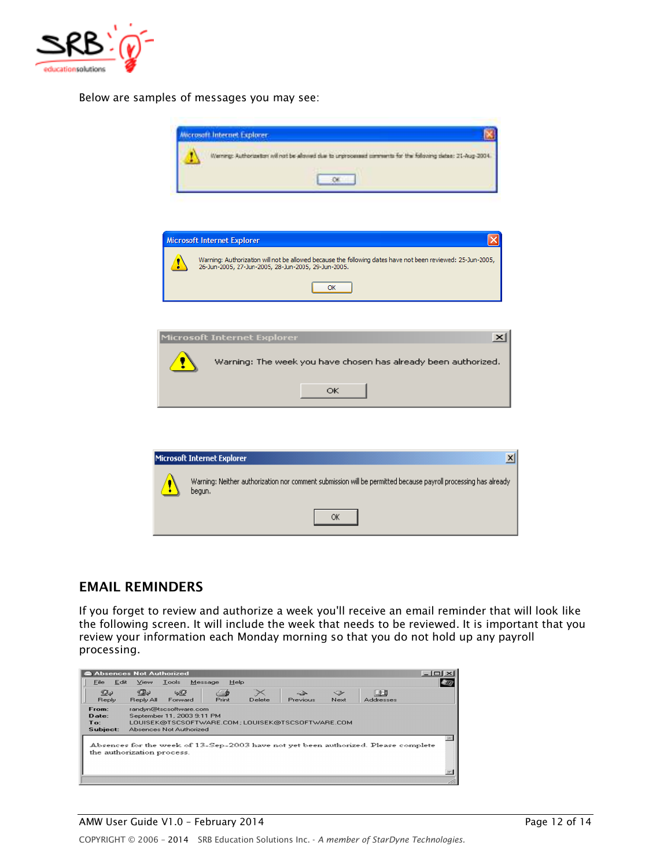

*Below are samples of messages you may see:*



### **EMAIL REMINDERS**

*If you forget to review and authorize a week you'll receive an email reminder that will look like the following screen. It will include the week that needs to be reviewed. It is important that you review your information each Monday morning so that you do not hold up any payroll processing.* 

| Absences Not Authorized                                                                                          |                |                                                                                 |                        |        |                                                 |            |                  | $ \Box$ $\times$ |
|------------------------------------------------------------------------------------------------------------------|----------------|---------------------------------------------------------------------------------|------------------------|--------|-------------------------------------------------|------------|------------------|------------------|
| Edit<br>File                                                                                                     | View           | Tools                                                                           | <b>Help</b><br>Message |        |                                                 |            |                  |                  |
| Ds<br>Reply                                                                                                      | ⋘<br>Reply All | 6SP<br>Forward                                                                  | ≝<br>Print             | Delete | Previous                                        | マン<br>Next | <b>Addresses</b> |                  |
| From:<br>Date:<br>To:<br>Subject:                                                                                |                | randyn@tscsoftware.com<br>September 11, 2003 9:11 PM<br>Absences Not Authorized |                        |        | LOUISEK@TSCSOFTWARE.COM:LOUISEK@TSCSOFTWARE.COM |            |                  |                  |
| Absences for the week of 13-Sep-2003 have not yet been authorized. Please complete<br>the authorization process. |                |                                                                                 |                        |        |                                                 |            |                  |                  |
|                                                                                                                  |                |                                                                                 |                        |        |                                                 |            |                  |                  |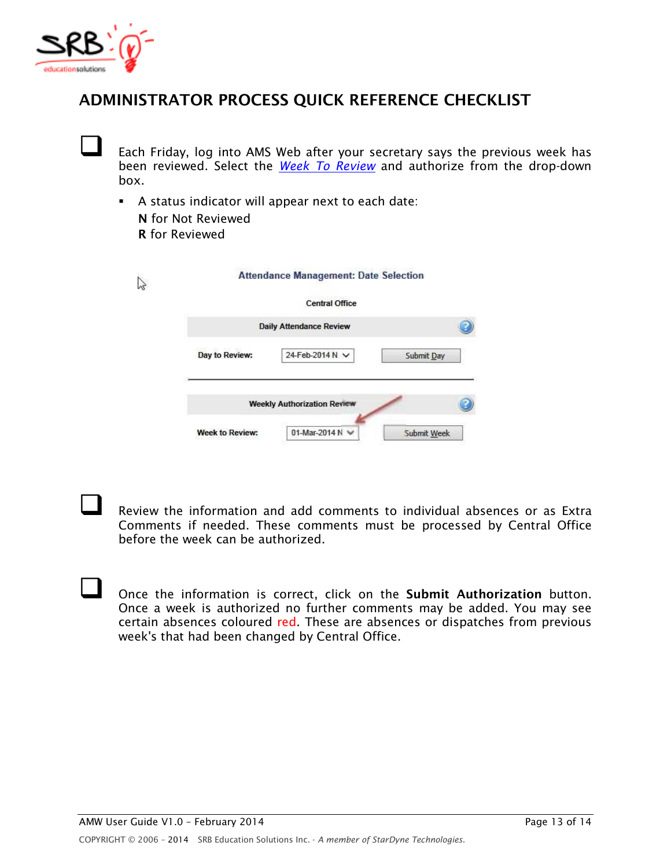

# **ADMINISTRATOR PROCESS QUICK REFERENCE CHECKLIST**

 *Each Friday, log into AMS Web after your secretary says the previous week has been reviewed. Select the Week To Review and authorize from the drop-down box.* 

- *A status indicator will appear next to each date:* 
	- **N** *for Not Reviewed*  **R** *for Reviewed*

|                | <b>Central Office</b>              |            |
|----------------|------------------------------------|------------|
|                | <b>Daily Attendance Review</b>     |            |
| Day to Review: | 24-Feb-2014 N V                    | Submit Day |
|                | <b>Weekly Authorization Review</b> |            |

 *Review the information and add comments to individual absences or as Extra Comments if needed. These comments must be processed by Central Office before the week can be authorized.* 

 *Once the information is correct, click on the* **Submit Authorization** *button. Once a week is authorized no further comments may be added. You may see certain absences coloured red. These are absences or dispatches from previous week's that had been changed by Central Office.*